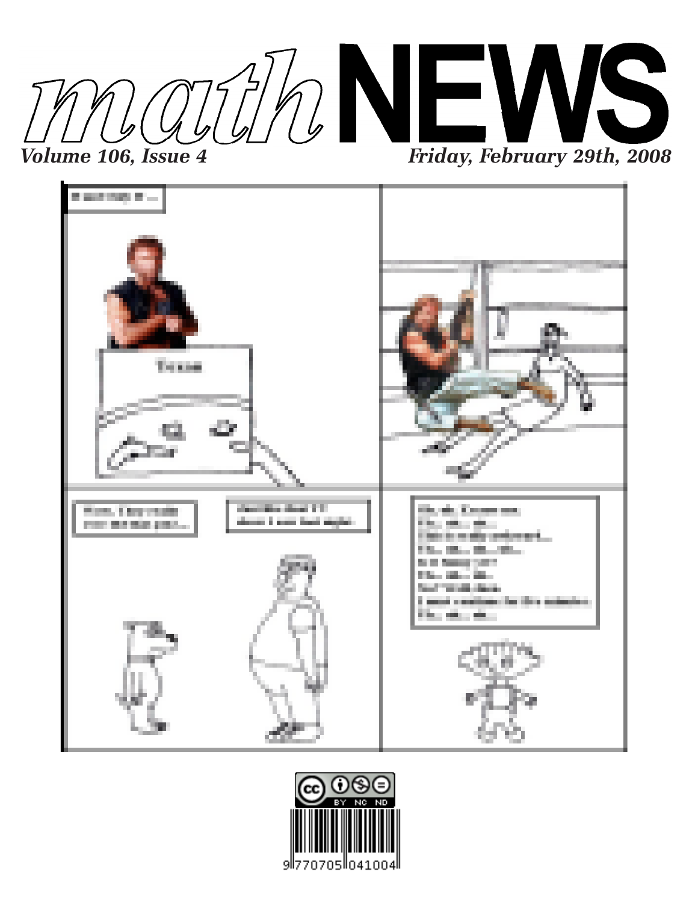



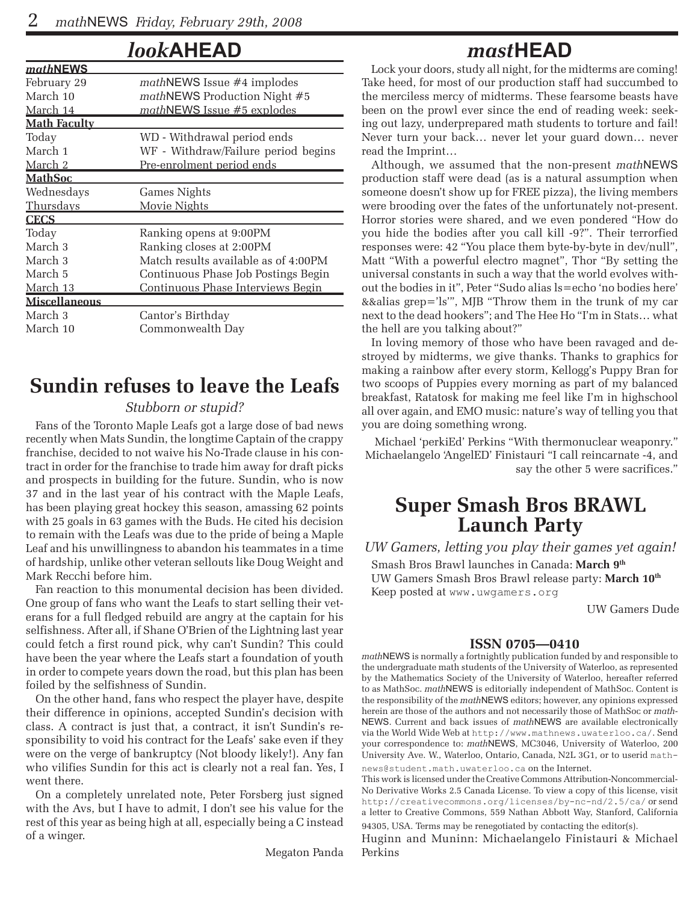### *look***AHEAD**

| <u>mathNEWS</u>      |                                      |
|----------------------|--------------------------------------|
| February 29          | $mathN$ EWS Issue #4 implodes        |
| March 10             | mathNEWS Production Night #5         |
| <u>March 14</u>      | mathNEWS Issue #5 explodes           |
| <b>Math Faculty</b>  |                                      |
| Today                | WD - Withdrawal period ends          |
| March 1              | WF - Withdraw/Failure period begins  |
| March 2              | Pre-enrolment period ends            |
| <u> MathSoc</u>      |                                      |
| Wednesdays           | Games Nights                         |
| Thursdays            | Movie Nights                         |
| <b>CECS</b>          |                                      |
| Today                | Ranking opens at 9:00PM              |
| March 3              | Ranking closes at 2:00PM             |
| March 3              | Match results available as of 4:00PM |
| March 5              | Continuous Phase Job Postings Begin  |
| March 13             | Continuous Phase Interviews Begin    |
| <b>Miscellaneous</b> |                                      |
| March 3              | Cantor's Birthday                    |
| March 10             | Commonwealth Day                     |
|                      |                                      |

# **Sundin refuses to leave the Leafs**

#### *Stubborn or stupid?*

Fans of the Toronto Maple Leafs got a large dose of bad news recently when Mats Sundin, the longtime Captain of the crappy franchise, decided to not waive his No-Trade clause in his contract in order for the franchise to trade him away for draft picks and prospects in building for the future. Sundin, who is now 37 and in the last year of his contract with the Maple Leafs, has been playing great hockey this season, amassing 62 points with 25 goals in 63 games with the Buds. He cited his decision to remain with the Leafs was due to the pride of being a Maple Leaf and his unwillingness to abandon his teammates in a time of hardship, unlike other veteran sellouts like Doug Weight and Mark Recchi before him.

Fan reaction to this monumental decision has been divided. One group of fans who want the Leafs to start selling their veterans for a full fledged rebuild are angry at the captain for his selfishness. After all, if Shane O'Brien of the Lightning last year could fetch a first round pick, why can't Sundin? This could have been the year where the Leafs start a foundation of youth in order to compete years down the road, but this plan has been foiled by the selfishness of Sundin.

On the other hand, fans who respect the player have, despite their difference in opinions, accepted Sundin's decision with class. A contract is just that, a contract, it isn't Sundin's responsibility to void his contract for the Leafs' sake even if they were on the verge of bankruptcy (Not bloody likely!). Any fan who vilifies Sundin for this act is clearly not a real fan. Yes, I went there.

On a completely unrelated note, Peter Forsberg just signed with the Avs, but I have to admit, I don't see his value for the rest of this year as being high at all, especially being a C instead of a winger.

Megaton Panda

# *mast***HEAD**

Lock your doors, study all night, for the midterms are coming! Take heed, for most of our production staff had succumbed to the merciless mercy of midterms. These fearsome beasts have been on the prowl ever since the end of reading week: seeking out lazy, underprepared math students to torture and fail! Never turn your back… never let your guard down… never read the Imprint…

Although, we assumed that the non-present *math*NEWS production staff were dead (as is a natural assumption when someone doesn't show up for FREE pizza), the living members were brooding over the fates of the unfortunately not-present. Horror stories were shared, and we even pondered "How do you hide the bodies after you call kill -9?". Their terrorfied responses were: 42 "You place them byte-by-byte in dev/null", Matt "With a powerful electro magnet", Thor "By setting the universal constants in such a way that the world evolves without the bodies in it", Peter "Sudo alias ls=echo 'no bodies here' &&alias grep='ls'", MJB "Throw them in the trunk of my car next to the dead hookers"; and The Hee Ho "I'm in Stats… what the hell are you talking about?"

In loving memory of those who have been ravaged and destroyed by midterms, we give thanks. Thanks to graphics for making a rainbow after every storm, Kellogg's Puppy Bran for two scoops of Puppies every morning as part of my balanced breakfast, Ratatosk for making me feel like I'm in highschool all over again, and EMO music: nature's way of telling you that you are doing something wrong.

Michael 'perkiEd' Perkins "With thermonuclear weaponry." Michaelangelo 'AngelED' Finistauri "I call reincarnate -4, and say the other 5 were sacrifices."

# **Super Smash Bros BRAWL Launch Party**

*UW Gamers, letting you play their games yet again!* Smash Bros Brawl launches in Canada: **March 9th** UW Gamers Smash Bros Brawl release party: **March 10th** Keep posted at www.uwgamers.org

UW Gamers Dude

#### **ISSN 0705—0410**

*math*NEWS is normally a fortnightly publication funded by and responsible to the undergraduate math students of the University of Waterloo, as represented by the Mathematics Society of the University of Waterloo, hereafter referred to as MathSoc. *math*NEWS is editorially independent of MathSoc. Content is the responsibility of the *math*NEWS editors; however, any opinions expressed herein are those of the authors and not necessarily those of MathSoc or *math-*NEWS. Current and back issues of *math*NEWS are available electronically via the World Wide Web at http://www.mathnews.uwaterloo.ca/. Send your correspondence to: *math*NEWS, MC3046, University of Waterloo, 200 University Ave. W., Waterloo, Ontario, Canada, N2L 3G1, or to userid mathnews@student.math.uwaterloo.ca on the Internet.

This work is licensed under the Creative Commons Attribution-Noncommercial-No Derivative Works 2.5 Canada License. To view a copy of this license, visit http://creativecommons.org/licenses/by-nc-nd/2.5/ca/ or send a letter to Creative Commons, 559 Nathan Abbott Way, Stanford, California 94305, USA. Terms may be renegotiated by contacting the editor(s).

Huginn and Muninn: Michaelangelo Finistauri & Michael Perkins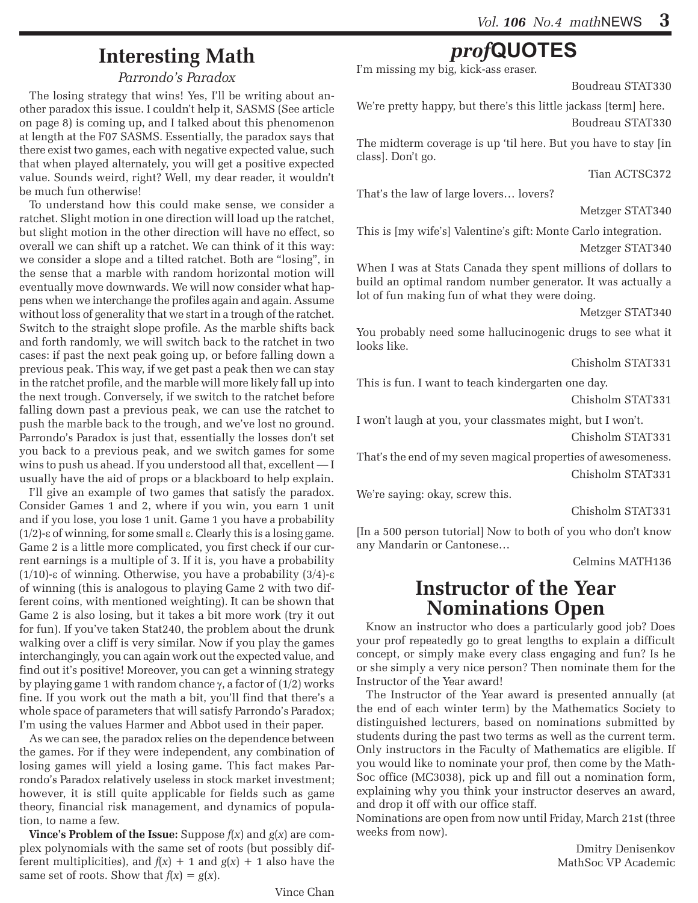# **Interesting Math**

#### *Parrondo's Paradox*

The losing strategy that wins! Yes, I'll be writing about another paradox this issue. I couldn't help it, SASMS (See article on page 8) is coming up, and I talked about this phenomenon at length at the F07 SASMS. Essentially, the paradox says that there exist two games, each with negative expected value, such that when played alternately, you will get a positive expected value. Sounds weird, right? Well, my dear reader, it wouldn't be much fun otherwise!

To understand how this could make sense, we consider a ratchet. Slight motion in one direction will load up the ratchet, but slight motion in the other direction will have no effect, so overall we can shift up a ratchet. We can think of it this way: we consider a slope and a tilted ratchet. Both are "losing", in the sense that a marble with random horizontal motion will eventually move downwards. We will now consider what happens when we interchange the profiles again and again. Assume without loss of generality that we start in a trough of the ratchet. Switch to the straight slope profile. As the marble shifts back and forth randomly, we will switch back to the ratchet in two cases: if past the next peak going up, or before falling down a previous peak. This way, if we get past a peak then we can stay in the ratchet profile, and the marble will more likely fall up into the next trough. Conversely, if we switch to the ratchet before falling down past a previous peak, we can use the ratchet to push the marble back to the trough, and we've lost no ground. Parrondo's Paradox is just that, essentially the losses don't set you back to a previous peak, and we switch games for some wins to push us ahead. If you understood all that, excellent — I usually have the aid of props or a blackboard to help explain.

I'll give an example of two games that satisfy the paradox. Consider Games 1 and 2, where if you win, you earn 1 unit and if you lose, you lose 1 unit. Game 1 you have a probability (1/2)-ε of winning, for some small ε. Clearly this is a losing game. Game 2 is a little more complicated, you first check if our current earnings is a multiple of 3. If it is, you have a probability (1/10)-ε of winning. Otherwise, you have a probability (3/4)-ε of winning (this is analogous to playing Game 2 with two different coins, with mentioned weighting). It can be shown that Game 2 is also losing, but it takes a bit more work (try it out for fun). If you've taken Stat240, the problem about the drunk walking over a cliff is very similar. Now if you play the games interchangingly, you can again work out the expected value, and find out it's positive! Moreover, you can get a winning strategy by playing game 1 with random chance  $\gamma$ , a factor of (1/2) works fine. If you work out the math a bit, you'll find that there's a whole space of parameters that will satisfy Parrondo's Paradox; I'm using the values Harmer and Abbot used in their paper.

As we can see, the paradox relies on the dependence between the games. For if they were independent, any combination of losing games will yield a losing game. This fact makes Parrondo's Paradox relatively useless in stock market investment; however, it is still quite applicable for fields such as game theory, financial risk management, and dynamics of population, to name a few.

**Vince's Problem of the Issue:** Suppose *f*(*x*) and *g*(*x*) are complex polynomials with the same set of roots (but possibly different multiplicities), and  $f(x) + 1$  and  $g(x) + 1$  also have the same set of roots. Show that  $f(x) = g(x)$ .

# *prof***QUOTES**

I'm missing my big, kick-ass eraser.

Boudreau STAT330

We're pretty happy, but there's this little jackass [term] here. Boudreau STAT330

The midterm coverage is up 'til here. But you have to stay [in class]. Don't go.

Tian ACTSC372

That's the law of large lovers… lovers?

Metzger STAT340

This is [my wife's] Valentine's gift: Monte Carlo integration. Metzger STAT340

When I was at Stats Canada they spent millions of dollars to build an optimal random number generator. It was actually a lot of fun making fun of what they were doing.

Metzger STAT340

You probably need some hallucinogenic drugs to see what it looks like.

Chisholm STAT331

This is fun. I want to teach kindergarten one day.

Chisholm STAT331

I won't laugh at you, your classmates might, but I won't.

Chisholm STAT331

That's the end of my seven magical properties of awesomeness. Chisholm STAT331

We're saying: okay, screw this.

Chisholm STAT331

[In a 500 person tutorial] Now to both of you who don't know any Mandarin or Cantonese…

Celmins MATH136

### **Instructor of the Year Nominations Open**

Know an instructor who does a particularly good job? Does your prof repeatedly go to great lengths to explain a difficult concept, or simply make every class engaging and fun? Is he or she simply a very nice person? Then nominate them for the Instructor of the Year award!

The Instructor of the Year award is presented annually (at the end of each winter term) by the Mathematics Society to distinguished lecturers, based on nominations submitted by students during the past two terms as well as the current term. Only instructors in the Faculty of Mathematics are eligible. If you would like to nominate your prof, then come by the Math-Soc office (MC3038), pick up and fill out a nomination form, explaining why you think your instructor deserves an award, and drop it off with our office staff.

Nominations are open from now until Friday, March 21st (three weeks from now).

> Dmitry Denisenkov MathSoc VP Academic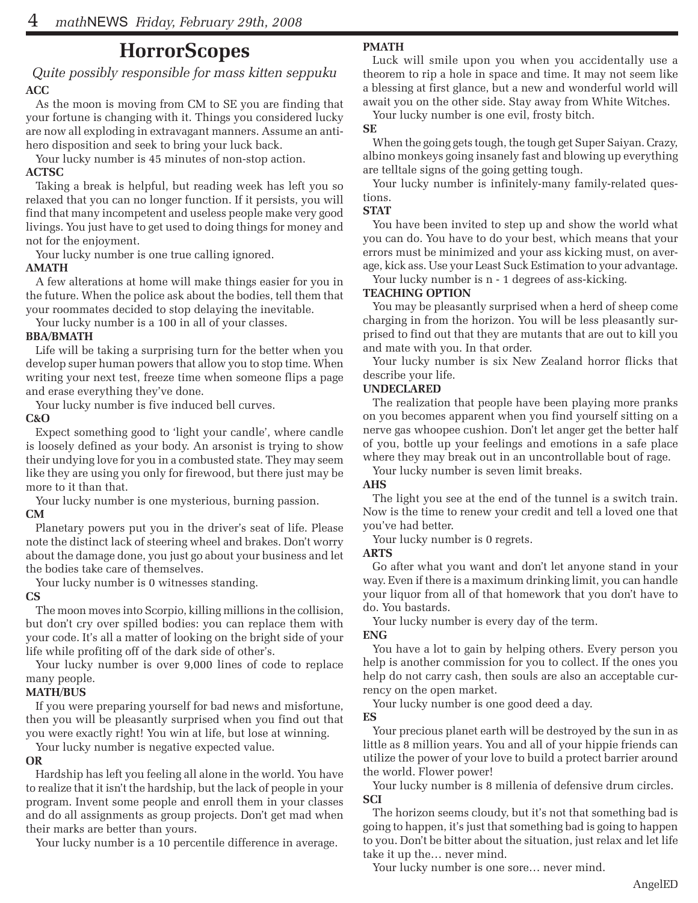## **HorrorScopes**

#### *Quite possibly responsible for mass kitten seppuku* **ACC**

As the moon is moving from CM to SE you are finding that your fortune is changing with it. Things you considered lucky are now all exploding in extravagant manners. Assume an antihero disposition and seek to bring your luck back.

Your lucky number is 45 minutes of non-stop action.

#### **ACTSC**

Taking a break is helpful, but reading week has left you so relaxed that you can no longer function. If it persists, you will find that many incompetent and useless people make very good livings. You just have to get used to doing things for money and not for the enjoyment.

Your lucky number is one true calling ignored.

#### **AMATH**

A few alterations at home will make things easier for you in the future. When the police ask about the bodies, tell them that your roommates decided to stop delaying the inevitable.

Your lucky number is a 100 in all of your classes.

#### **BBA/BMATH**

Life will be taking a surprising turn for the better when you develop super human powers that allow you to stop time. When writing your next test, freeze time when someone flips a page and erase everything they've done.

Your lucky number is five induced bell curves.

#### **C&O**

Expect something good to 'light your candle', where candle is loosely defined as your body. An arsonist is trying to show their undying love for you in a combusted state. They may seem like they are using you only for firewood, but there just may be more to it than that.

Your lucky number is one mysterious, burning passion.

#### **CM**

Planetary powers put you in the driver's seat of life. Please note the distinct lack of steering wheel and brakes. Don't worry about the damage done, you just go about your business and let the bodies take care of themselves.

Your lucky number is 0 witnesses standing.

#### **CS**

The moon moves into Scorpio, killing millions in the collision, but don't cry over spilled bodies: you can replace them with your code. It's all a matter of looking on the bright side of your life while profiting off of the dark side of other's.

Your lucky number is over 9,000 lines of code to replace many people.

#### **MATH/BUS**

If you were preparing yourself for bad news and misfortune, then you will be pleasantly surprised when you find out that you were exactly right! You win at life, but lose at winning.

Your lucky number is negative expected value.

#### **OR**

Hardship has left you feeling all alone in the world. You have to realize that it isn't the hardship, but the lack of people in your program. Invent some people and enroll them in your classes and do all assignments as group projects. Don't get mad when their marks are better than yours.

Your lucky number is a 10 percentile difference in average.

#### **PMATH**

Luck will smile upon you when you accidentally use a theorem to rip a hole in space and time. It may not seem like a blessing at first glance, but a new and wonderful world will await you on the other side. Stay away from White Witches.

Your lucky number is one evil, frosty bitch.

#### **SE**

When the going gets tough, the tough get Super Saiyan. Crazy, albino monkeys going insanely fast and blowing up everything are telltale signs of the going getting tough.

Your lucky number is infinitely-many family-related questions.

#### **STAT**

You have been invited to step up and show the world what you can do. You have to do your best, which means that your errors must be minimized and your ass kicking must, on average, kick ass. Use your Least Suck Estimation to your advantage.

Your lucky number is  $n - 1$  degrees of ass-kicking.

#### **TEACHING OPTION**

You may be pleasantly surprised when a herd of sheep come charging in from the horizon. You will be less pleasantly surprised to find out that they are mutants that are out to kill you and mate with you. In that order.

Your lucky number is six New Zealand horror flicks that describe your life.

#### **UNDECLARED**

The realization that people have been playing more pranks on you becomes apparent when you find yourself sitting on a nerve gas whoopee cushion. Don't let anger get the better half of you, bottle up your feelings and emotions in a safe place where they may break out in an uncontrollable bout of rage.

Your lucky number is seven limit breaks.

#### **AHS**

The light you see at the end of the tunnel is a switch train. Now is the time to renew your credit and tell a loved one that you've had better.

Your lucky number is 0 regrets.

#### **ARTS**

Go after what you want and don't let anyone stand in your way. Even if there is a maximum drinking limit, you can handle your liquor from all of that homework that you don't have to do. You bastards.

Your lucky number is every day of the term.

#### **ENG**

You have a lot to gain by helping others. Every person you help is another commission for you to collect. If the ones you help do not carry cash, then souls are also an acceptable currency on the open market.

Your lucky number is one good deed a day.

#### **ES**

Your precious planet earth will be destroyed by the sun in as little as 8 million years. You and all of your hippie friends can utilize the power of your love to build a protect barrier around the world. Flower power!

Your lucky number is 8 millenia of defensive drum circles. **SCI**

The horizon seems cloudy, but it's not that something bad is going to happen, it's just that something bad is going to happen to you. Don't be bitter about the situation, just relax and let life take it up the… never mind.

Your lucky number is one sore… never mind.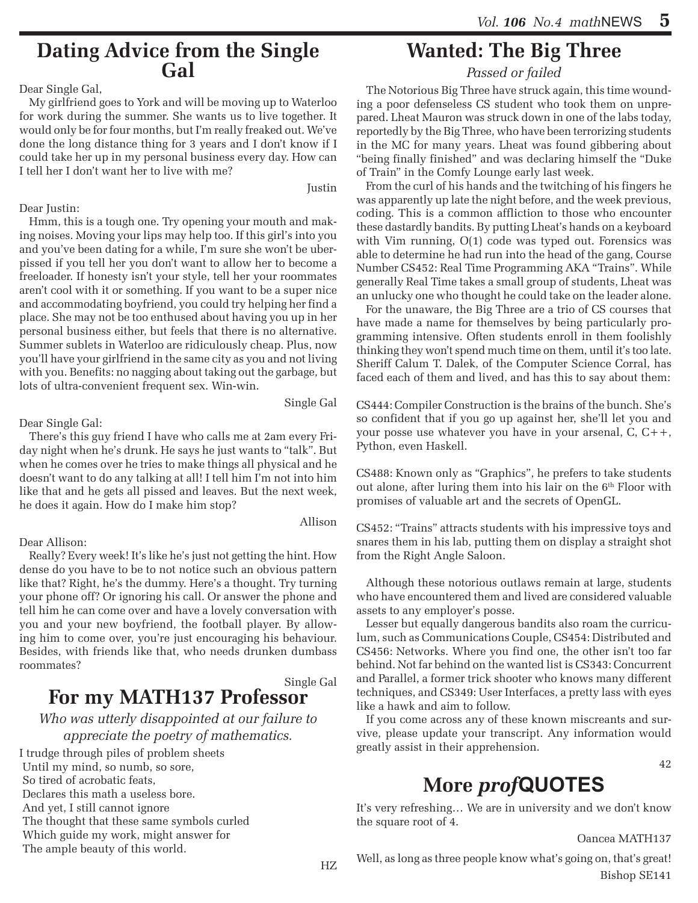# **Dating Advice from the Single Gal**

Dear Single Gal,

My girlfriend goes to York and will be moving up to Waterloo for work during the summer. She wants us to live together. It would only be for four months, but I'm really freaked out. We've done the long distance thing for 3 years and I don't know if I could take her up in my personal business every day. How can I tell her I don't want her to live with me?

Justin

Single Gal

Allison

Dear Justin:

Hmm, this is a tough one. Try opening your mouth and making noises. Moving your lips may help too. If this girl's into you and you've been dating for a while, I'm sure she won't be uberpissed if you tell her you don't want to allow her to become a freeloader. If honesty isn't your style, tell her your roommates aren't cool with it or something. If you want to be a super nice and accommodating boyfriend, you could try helping her find a place. She may not be too enthused about having you up in her personal business either, but feels that there is no alternative. Summer sublets in Waterloo are ridiculously cheap. Plus, now you'll have your girlfriend in the same city as you and not living with you. Benefits: no nagging about taking out the garbage, but lots of ultra-convenient frequent sex. Win-win.

Dear Single Gal:

There's this guy friend I have who calls me at 2am every Friday night when he's drunk. He says he just wants to "talk". But when he comes over he tries to make things all physical and he doesn't want to do any talking at all! I tell him I'm not into him like that and he gets all pissed and leaves. But the next week, he does it again. How do I make him stop?

#### Dear Allison:

Really? Every week! It's like he's just not getting the hint. How dense do you have to be to not notice such an obvious pattern like that? Right, he's the dummy. Here's a thought. Try turning your phone off? Or ignoring his call. Or answer the phone and tell him he can come over and have a lovely conversation with you and your new boyfriend, the football player. By allowing him to come over, you're just encouraging his behaviour. Besides, with friends like that, who needs drunken dumbass roommates?

Single Gal

### **For my MATH137 Professor**

*Who was utterly disappointed at our failure to appreciate the poetry of mathematics.*

I trudge through piles of problem sheets Until my mind, so numb, so sore, So tired of acrobatic feats, Declares this math a useless bore. And yet, I still cannot ignore The thought that these same symbols curled Which guide my work, might answer for The ample beauty of this world.

# **Wanted: The Big Three**

*Passed or failed*

The Notorious Big Three have struck again, this time wounding a poor defenseless CS student who took them on unprepared. Lheat Mauron was struck down in one of the labs today, reportedly by the Big Three, who have been terrorizing students in the MC for many years. Lheat was found gibbering about "being finally finished" and was declaring himself the "Duke of Train" in the Comfy Lounge early last week.

From the curl of his hands and the twitching of his fingers he was apparently up late the night before, and the week previous, coding. This is a common affliction to those who encounter these dastardly bandits. By putting Lheat's hands on a keyboard with Vim running,  $O(1)$  code was typed out. Forensics was able to determine he had run into the head of the gang, Course Number CS452: Real Time Programming AKA "Trains". While generally Real Time takes a small group of students, Lheat was an unlucky one who thought he could take on the leader alone.

For the unaware, the Big Three are a trio of CS courses that have made a name for themselves by being particularly programming intensive. Often students enroll in them foolishly thinking they won't spend much time on them, until it's too late. Sheriff Calum T. Dalek, of the Computer Science Corral, has faced each of them and lived, and has this to say about them:

CS444: Compiler Construction is the brains of the bunch. She's so confident that if you go up against her, she'll let you and your posse use whatever you have in your arsenal, C, C++, Python, even Haskell.

CS488: Known only as "Graphics", he prefers to take students out alone, after luring them into his lair on the  $6<sup>th</sup>$  Floor with promises of valuable art and the secrets of OpenGL.

CS452: "Trains" attracts students with his impressive toys and snares them in his lab, putting them on display a straight shot from the Right Angle Saloon.

Although these notorious outlaws remain at large, students who have encountered them and lived are considered valuable assets to any employer's posse.

Lesser but equally dangerous bandits also roam the curriculum, such as Communications Couple, CS454: Distributed and CS456: Networks. Where you find one, the other isn't too far behind. Not far behind on the wanted list is CS343: Concurrent and Parallel, a former trick shooter who knows many different techniques, and CS349: User Interfaces, a pretty lass with eyes like a hawk and aim to follow.

If you come across any of these known miscreants and survive, please update your transcript. Any information would greatly assist in their apprehension.

42

# **More** *prof***QUOTES**

It's very refreshing… We are in university and we don't know the square root of 4.

Oancea MATH137

Well, as long as three people know what's going on, that's great! Bishop SE141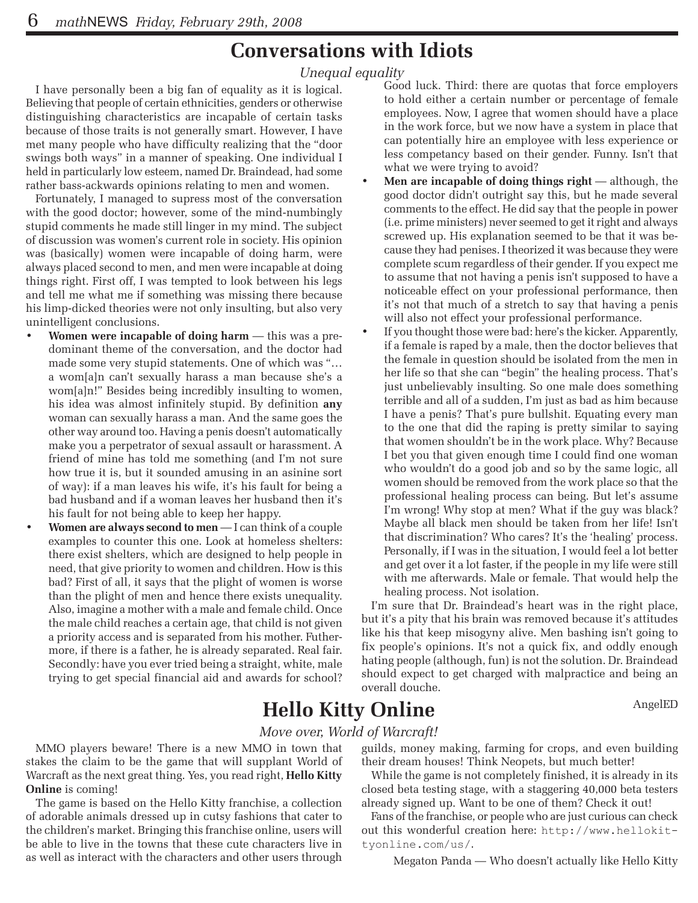# **Conversations with Idiots**

*Unequal equality*

I have personally been a big fan of equality as it is logical. Believing that people of certain ethnicities, genders or otherwise distinguishing characteristics are incapable of certain tasks because of those traits is not generally smart. However, I have met many people who have difficulty realizing that the "door swings both ways" in a manner of speaking. One individual I held in particularly low esteem, named Dr. Braindead, had some rather bass-ackwards opinions relating to men and women.

Fortunately, I managed to supress most of the conversation with the good doctor; however, some of the mind-numbingly stupid comments he made still linger in my mind. The subject of discussion was women's current role in society. His opinion was (basically) women were incapable of doing harm, were always placed second to men, and men were incapable at doing things right. First off, I was tempted to look between his legs and tell me what me if something was missing there because his limp-dicked theories were not only insulting, but also very unintelligent conclusions.

- **Women were incapable of doing harm** this was a predominant theme of the conversation, and the doctor had made some very stupid statements. One of which was "… a wom[a]n can't sexually harass a man because she's a wom[a]n!" Besides being incredibly insulting to women, his idea was almost infinitely stupid. By definition **any** woman can sexually harass a man. And the same goes the other way around too. Having a penis doesn't automatically make you a perpetrator of sexual assault or harassment. A friend of mine has told me something (and I'm not sure how true it is, but it sounded amusing in an asinine sort of way): if a man leaves his wife, it's his fault for being a bad husband and if a woman leaves her husband then it's his fault for not being able to keep her happy.
- **Women are always second to men** I can think of a couple examples to counter this one. Look at homeless shelters: there exist shelters, which are designed to help people in need, that give priority to women and children. How is this bad? First of all, it says that the plight of women is worse than the plight of men and hence there exists unequality. Also, imagine a mother with a male and female child. Once the male child reaches a certain age, that child is not given a priority access and is separated from his mother. Futhermore, if there is a father, he is already separated. Real fair. Secondly: have you ever tried being a straight, white, male trying to get special financial aid and awards for school?

Good luck. Third: there are quotas that force employers to hold either a certain number or percentage of female employees. Now, I agree that women should have a place in the work force, but we now have a system in place that can potentially hire an employee with less experience or less competancy based on their gender. Funny. Isn't that what we were trying to avoid?

- **Men are incapable of doing things right** although, the good doctor didn't outright say this, but he made several comments to the effect. He did say that the people in power (i.e. prime ministers) never seemed to get it right and always screwed up. His explanation seemed to be that it was because they had penises. I theorized it was because they were complete scum regardless of their gender. If you expect me to assume that not having a penis isn't supposed to have a noticeable effect on your professional performance, then it's not that much of a stretch to say that having a penis will also not effect your professional performance.
- If you thought those were bad: here's the kicker. Apparently, if a female is raped by a male, then the doctor believes that the female in question should be isolated from the men in her life so that she can "begin" the healing process. That's just unbelievably insulting. So one male does something terrible and all of a sudden, I'm just as bad as him because I have a penis? That's pure bullshit. Equating every man to the one that did the raping is pretty similar to saying that women shouldn't be in the work place. Why? Because I bet you that given enough time I could find one woman who wouldn't do a good job and so by the same logic, all women should be removed from the work place so that the professional healing process can being. But let's assume I'm wrong! Why stop at men? What if the guy was black? Maybe all black men should be taken from her life! Isn't that discrimination? Who cares? It's the 'healing' process. Personally, if I was in the situation, I would feel a lot better and get over it a lot faster, if the people in my life were still with me afterwards. Male or female. That would help the healing process. Not isolation.

I'm sure that Dr. Braindead's heart was in the right place, but it's a pity that his brain was removed because it's attitudes like his that keep misogyny alive. Men bashing isn't going to fix people's opinions. It's not a quick fix, and oddly enough hating people (although, fun) is not the solution. Dr. Braindead should expect to get charged with malpractice and being an overall douche.

# **Hello Kitty Online** AngelED

*Move over, World of Warcraft!*

MMO players beware! There is a new MMO in town that stakes the claim to be the game that will supplant World of Warcraft as the next great thing. Yes, you read right, **Hello Kitty Online** is coming!

The game is based on the Hello Kitty franchise, a collection of adorable animals dressed up in cutsy fashions that cater to the children's market. Bringing this franchise online, users will be able to live in the towns that these cute characters live in as well as interact with the characters and other users through guilds, money making, farming for crops, and even building their dream houses! Think Neopets, but much better!

While the game is not completely finished, it is already in its closed beta testing stage, with a staggering 40,000 beta testers already signed up. Want to be one of them? Check it out!

Fans of the franchise, or people who are just curious can check out this wonderful creation here: http://www.hellokittyonline.com/us/.

Megaton Panda — Who doesn't actually like Hello Kitty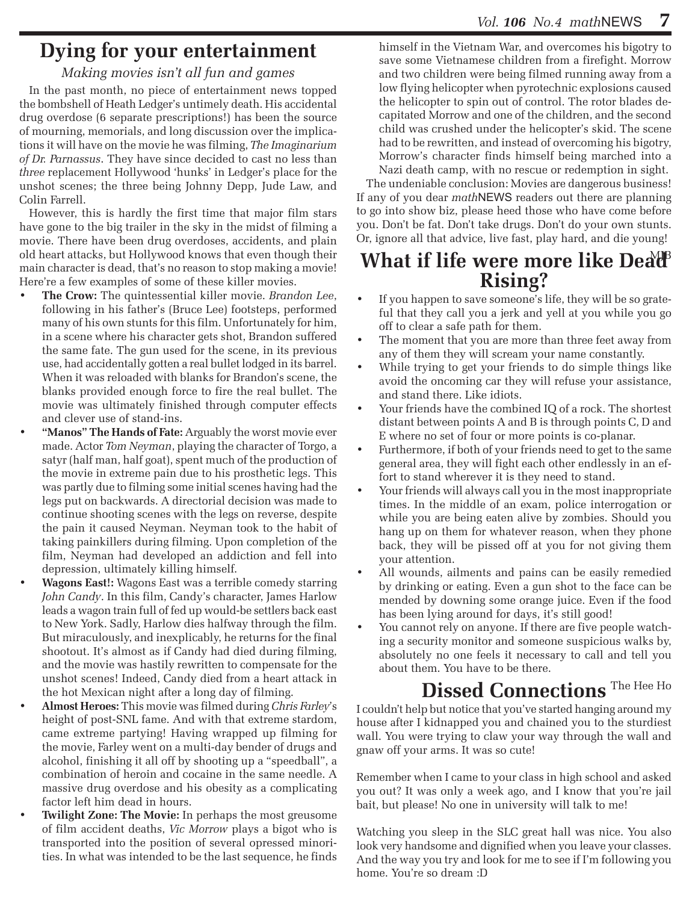# **Dying for your entertainment**

#### *Making movies isn't all fun and games*

In the past month, no piece of entertainment news topped the bombshell of Heath Ledger's untimely death. His accidental drug overdose (6 separate prescriptions!) has been the source of mourning, memorials, and long discussion over the implications it will have on the movie he was filming, *The Imaginarium of Dr. Parnassus*. They have since decided to cast no less than *three* replacement Hollywood 'hunks' in Ledger's place for the unshot scenes; the three being Johnny Depp, Jude Law, and Colin Farrell.

However, this is hardly the first time that major film stars have gone to the big trailer in the sky in the midst of filming a movie. There have been drug overdoses, accidents, and plain old heart attacks, but Hollywood knows that even though their main character is dead, that's no reason to stop making a movie! Here're a few examples of some of these killer movies.

- The Crow: The quintessential killer movie. *Brandon Lee*, following in his father's (Bruce Lee) footsteps, performed many of his own stunts for this film. Unfortunately for him, in a scene where his character gets shot, Brandon suffered the same fate. The gun used for the scene, in its previous use, had accidentally gotten a real bullet lodged in its barrel. When it was reloaded with blanks for Brandon's scene, the blanks provided enough force to fire the real bullet. The movie was ultimately finished through computer effects and clever use of stand-ins.
- "Manos" The Hands of Fate: Arguably the worst movie ever made. Actor *Tom Neyman*, playing the character of Torgo, a satyr (half man, half goat), spent much of the production of the movie in extreme pain due to his prosthetic legs. This was partly due to filming some initial scenes having had the legs put on backwards. A directorial decision was made to continue shooting scenes with the legs on reverse, despite the pain it caused Neyman. Neyman took to the habit of taking painkillers during filming. Upon completion of the film, Neyman had developed an addiction and fell into depression, ultimately killing himself.
- **Wagons East!:** Wagons East was a terrible comedy starring *John Candy*. In this film, Candy's character, James Harlow leads a wagon train full of fed up would-be settlers back east to New York. Sadly, Harlow dies halfway through the film. But miraculously, and inexplicably, he returns for the final shootout. It's almost as if Candy had died during filming, and the movie was hastily rewritten to compensate for the unshot scenes! Indeed, Candy died from a heart attack in the hot Mexican night after a long day of filming.
- • **Almost Heroes:** This movie was filmed during *Chris Farley*'s height of post-SNL fame. And with that extreme stardom, came extreme partying! Having wrapped up filming for the movie, Farley went on a multi-day bender of drugs and alcohol, finishing it all off by shooting up a "speedball", a combination of heroin and cocaine in the same needle. A massive drug overdose and his obesity as a complicating factor left him dead in hours.
- **Twilight Zone: The Movie:** In perhaps the most greusome of film accident deaths, *Vic Morrow* plays a bigot who is transported into the position of several opressed minorities. In what was intended to be the last sequence, he finds

himself in the Vietnam War, and overcomes his bigotry to save some Vietnamese children from a firefight. Morrow and two children were being filmed running away from a low flying helicopter when pyrotechnic explosions caused the helicopter to spin out of control. The rotor blades decapitated Morrow and one of the children, and the second child was crushed under the helicopter's skid. The scene had to be rewritten, and instead of overcoming his bigotry, Morrow's character finds himself being marched into a Nazi death camp, with no rescue or redemption in sight.

The undeniable conclusion: Movies are dangerous business! If any of you dear *math*NEWS readers out there are planning to go into show biz, please heed those who have come before you. Don't be fat. Don't take drugs. Don't do your own stunts. Or, ignore all that advice, live fast, play hard, and die young!

## **What if life were more like Deat Rising?**

- • If you happen to save someone's life, they will be so grateful that they call you a jerk and yell at you while you go off to clear a safe path for them.
- The moment that you are more than three feet away from any of them they will scream your name constantly.
- While trying to get your friends to do simple things like avoid the oncoming car they will refuse your assistance, and stand there. Like idiots.
- • Your friends have the combined IQ of a rock. The shortest distant between points A and B is through points C, D and E where no set of four or more points is co-planar.
- • Furthermore, if both of your friends need to get to the same general area, they will fight each other endlessly in an effort to stand wherever it is they need to stand.
- • Your friends will always call you in the most inappropriate times. In the middle of an exam, police interrogation or while you are being eaten alive by zombies. Should you hang up on them for whatever reason, when they phone back, they will be pissed off at you for not giving them your attention.
- All wounds, ailments and pains can be easily remedied by drinking or eating. Even a gun shot to the face can be mended by downing some orange juice. Even if the food has been lying around for days, it's still good!
- • You cannot rely on anyone. If there are five people watching a security monitor and someone suspicious walks by, absolutely no one feels it necessary to call and tell you about them. You have to be there.

# Dissed Connections<sup>The Hee Ho</sup>

I couldn't help but notice that you've started hanging around my house after I kidnapped you and chained you to the sturdiest wall. You were trying to claw your way through the wall and gnaw off your arms. It was so cute!

Remember when I came to your class in high school and asked you out? It was only a week ago, and I know that you're jail bait, but please! No one in university will talk to me!

Watching you sleep in the SLC great hall was nice. You also look very handsome and dignified when you leave your classes. And the way you try and look for me to see if I'm following you home. You're so dream :D